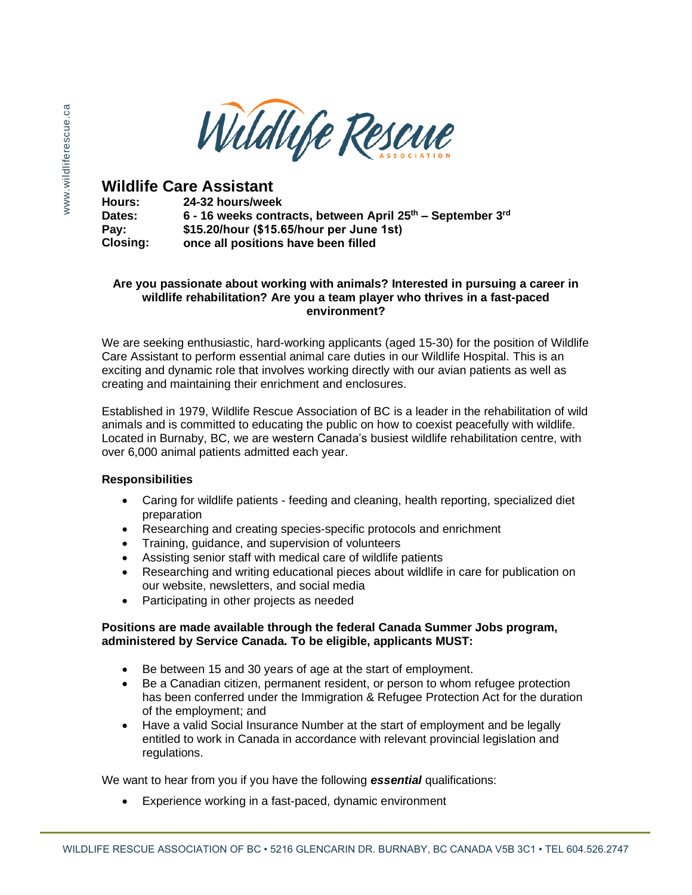

# **Wildlife Care Assistant**

**Hours: Dates: Pay: Closing: 24-32 hours/week 6 - 16 weeks contracts, between April 25th – September 3rd \$15.20/hour (\$15.65/hour per June 1st) once all positions have been filled**

#### **Are you passionate about working with animals? Interested in pursuing a career in wildlife rehabilitation? Are you a team player who thrives in a fast-paced environment?**

We are seeking enthusiastic, hard-working applicants (aged 15-30) for the position of Wildlife Care Assistant to perform essential animal care duties in our Wildlife Hospital. This is an exciting and dynamic role that involves working directly with our avian patients as well as creating and maintaining their enrichment and enclosures.

Established in 1979, Wildlife Rescue Association of BC is a leader in the rehabilitation of wild animals and is committed to educating the public on how to coexist peacefully with wildlife. Located in Burnaby, BC, we are western Canada's busiest wildlife rehabilitation centre, with over 6,000 animal patients admitted each year.

## **Responsibilities**

- Caring for wildlife patients feeding and cleaning, health reporting, specialized diet preparation
- Researching and creating species-specific protocols and enrichment
- Training, guidance, and supervision of volunteers
- Assisting senior staff with medical care of wildlife patients
- Researching and writing educational pieces about wildlife in care for publication on our website, newsletters, and social media
- Participating in other projects as needed

## **Positions are made available through the federal Canada Summer Jobs program, administered by Service Canada. To be eligible, applicants MUST:**

- Be between 15 and 30 years of age at the start of employment.
- Be a Canadian citizen, permanent resident, or person to whom refugee protection has been conferred under the Immigration & Refugee Protection Act for the duration of the employment; and
- Have a valid Social Insurance Number at the start of employment and be legally entitled to work in Canada in accordance with relevant provincial legislation and regulations.

We want to hear from you if you have the following *essential* qualifications:

• Experience working in a fast-paced, dynamic environment